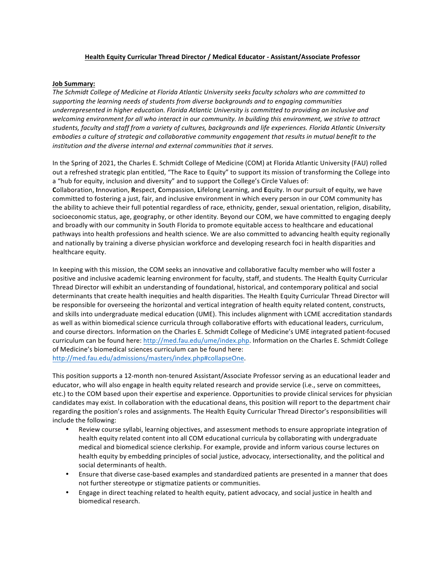## Health Equity Curricular Thread Director / Medical Educator - Assistant/Associate Professor

## **Job Summary:**

The Schmidt College of Medicine at Florida Atlantic University seeks faculty scholars who are committed to supporting the learning needs of students from diverse backgrounds and to engaging communities underrepresented in higher education. Florida Atlantic University is committed to providing an inclusive and welcoming environment for all who interact in our community. In building this environment, we strive to attract students, faculty and staff from a variety of cultures, backgrounds and life experiences. Florida Atlantic University *embodies a culture of strategic and collaborative community engagement that results in mutual benefit to the institution and the diverse internal and external communities that it serves.* 

In the Spring of 2021, the Charles E. Schmidt College of Medicine (COM) at Florida Atlantic University (FAU) rolled out a refreshed strategic plan entitled, "The Race to Equity" to support its mission of transforming the College into a "hub for equity, inclusion and diversity" and to support the College's Circle Values of: **Collaboration, Innovation, Respect, Compassion, Lifelong Learning, and Equity. In our pursuit of equity, we have** committed to fostering a just, fair, and inclusive environment in which every person in our COM community has the ability to achieve their full potential regardless of race, ethnicity, gender, sexual orientation, religion, disability, socioeconomic status, age, geography, or other identity. Beyond our COM, we have committed to engaging deeply and broadly with our community in South Florida to promote equitable access to healthcare and educational pathways into health professions and health science. We are also committed to advancing health equity regionally and nationally by training a diverse physician workforce and developing research foci in health disparities and healthcare equity.

In keeping with this mission, the COM seeks an innovative and collaborative faculty member who will foster a positive and inclusive academic learning environment for faculty, staff, and students. The Health Equity Curricular Thread Director will exhibit an understanding of foundational, historical, and contemporary political and social determinants that create health inequities and health disparities. The Health Equity Curricular Thread Director will be responsible for overseeing the horizontal and vertical integration of health equity related content, constructs, and skills into undergraduate medical education (UME). This includes alignment with LCME accreditation standards as well as within biomedical science curricula through collaborative efforts with educational leaders, curriculum, and course directors. Information on the Charles E. Schmidt College of Medicine's UME integrated patient-focused curriculum can be found here: http://med.fau.edu/ume/index.php. Information on the Charles E. Schmidt College of Medicine's biomedical sciences curriculum can be found here: http://med.fau.edu/admissions/masters/index.php#collapseOne.

This position supports a 12-month non-tenured Assistant/Associate Professor serving as an educational leader and educator, who will also engage in health equity related research and provide service (i.e., serve on committees, etc.) to the COM based upon their expertise and experience. Opportunities to provide clinical services for physician candidates may exist. In collaboration with the educational deans, this position will report to the department chair regarding the position's roles and assignments. The Health Equity Curricular Thread Director's responsibilities will include the following:

- Review course syllabi, learning objectives, and assessment methods to ensure appropriate integration of health equity related content into all COM educational curricula by collaborating with undergraduate medical and biomedical science clerkship. For example, provide and inform various course lectures on health equity by embedding principles of social justice, advocacy, intersectionality, and the political and social determinants of health.
- Ensure that diverse case-based examples and standardized patients are presented in a manner that does not further stereotype or stigmatize patients or communities.
- Engage in direct teaching related to health equity, patient advocacy, and social justice in health and biomedical research.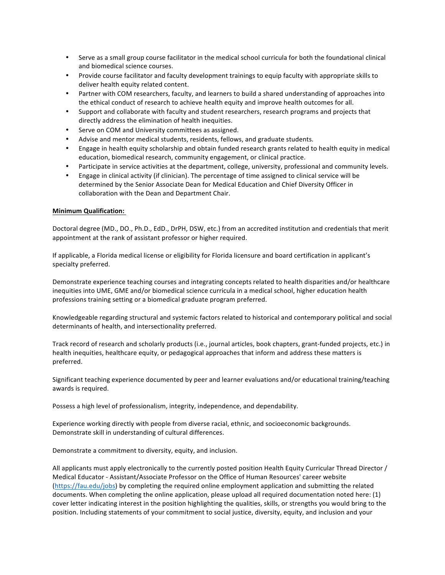- Serve as a small group course facilitator in the medical school curricula for both the foundational clinical and biomedical science courses.
- Provide course facilitator and faculty development trainings to equip faculty with appropriate skills to deliver health equity related content.
- Partner with COM researchers, faculty, and learners to build a shared understanding of approaches into the ethical conduct of research to achieve health equity and improve health outcomes for all.
- Support and collaborate with faculty and student researchers, research programs and projects that directly address the elimination of health inequities.
- Serve on COM and University committees as assigned.
- Advise and mentor medical students, residents, fellows, and graduate students.
- Engage in health equity scholarship and obtain funded research grants related to health equity in medical education, biomedical research, community engagement, or clinical practice.
- Participate in service activities at the department, college, university, professional and community levels.
- Engage in clinical activity (if clinician). The percentage of time assigned to clinical service will be determined by the Senior Associate Dean for Medical Education and Chief Diversity Officer in collaboration with the Dean and Department Chair.

## **Minimum Qualification:**

Doctoral degree (MD., DO., Ph.D., EdD., DrPH, DSW, etc.) from an accredited institution and credentials that merit appointment at the rank of assistant professor or higher required.

If applicable, a Florida medical license or eligibility for Florida licensure and board certification in applicant's specialty preferred.

Demonstrate experience teaching courses and integrating concepts related to health disparities and/or healthcare inequities into UME, GME and/or biomedical science curricula in a medical school, higher education health professions training setting or a biomedical graduate program preferred.

Knowledgeable regarding structural and systemic factors related to historical and contemporary political and social determinants of health, and intersectionality preferred.

Track record of research and scholarly products (i.e., journal articles, book chapters, grant-funded projects, etc.) in health inequities, healthcare equity, or pedagogical approaches that inform and address these matters is preferred.

Significant teaching experience documented by peer and learner evaluations and/or educational training/teaching awards is required.

Possess a high level of professionalism, integrity, independence, and dependability.

Experience working directly with people from diverse racial, ethnic, and socioeconomic backgrounds. Demonstrate skill in understanding of cultural differences.

Demonstrate a commitment to diversity, equity, and inclusion.

All applicants must apply electronically to the currently posted position Health Equity Curricular Thread Director / Medical Educator - Assistant/Associate Professor on the Office of Human Resources' career website (https://fau.edu/jobs) by completing the required online employment application and submitting the related documents. When completing the online application, please upload all required documentation noted here: (1) cover letter indicating interest in the position highlighting the qualities, skills, or strengths you would bring to the position. Including statements of your commitment to social justice, diversity, equity, and inclusion and your